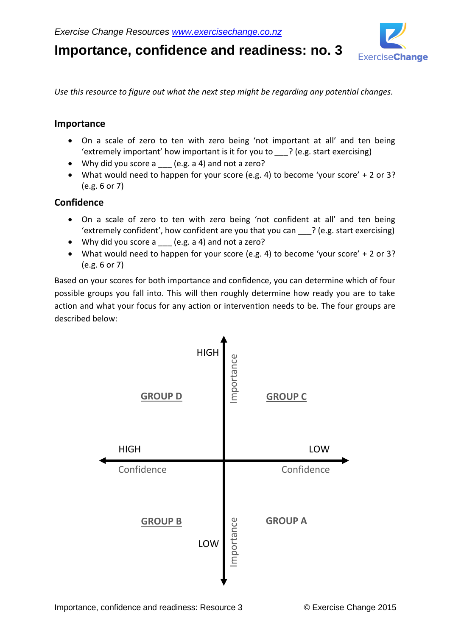

**Importance, confidence and readiness: no. 3**

*Use this resource to figure out what the next step might be regarding any potential changes.*

## **Importance**

- On a scale of zero to ten with zero being 'not important at all' and ten being 'extremely important' how important is it for you to *\_\_\_*? (e.g. start exercising)
- Why did you score a (e.g. a 4) and not a zero?
- What would need to happen for your score (e.g. 4) to become 'your score' + 2 or 3? (e.g. 6 or 7)

## **Confidence**

- On a scale of zero to ten with zero being 'not confident at all' and ten being 'extremely confident', how confident are you that you can \_\_\_? (e.g. start exercising)
- Why did you score a (e.g. a 4) and not a zero?
- What would need to happen for your score (e.g. 4) to become 'your score' + 2 or 3? (e.g. 6 or 7)

Based on your scores for both importance and confidence, you can determine which of four possible groups you fall into. This will then roughly determine how ready you are to take action and what your focus for any action or intervention needs to be. The four groups are described below: